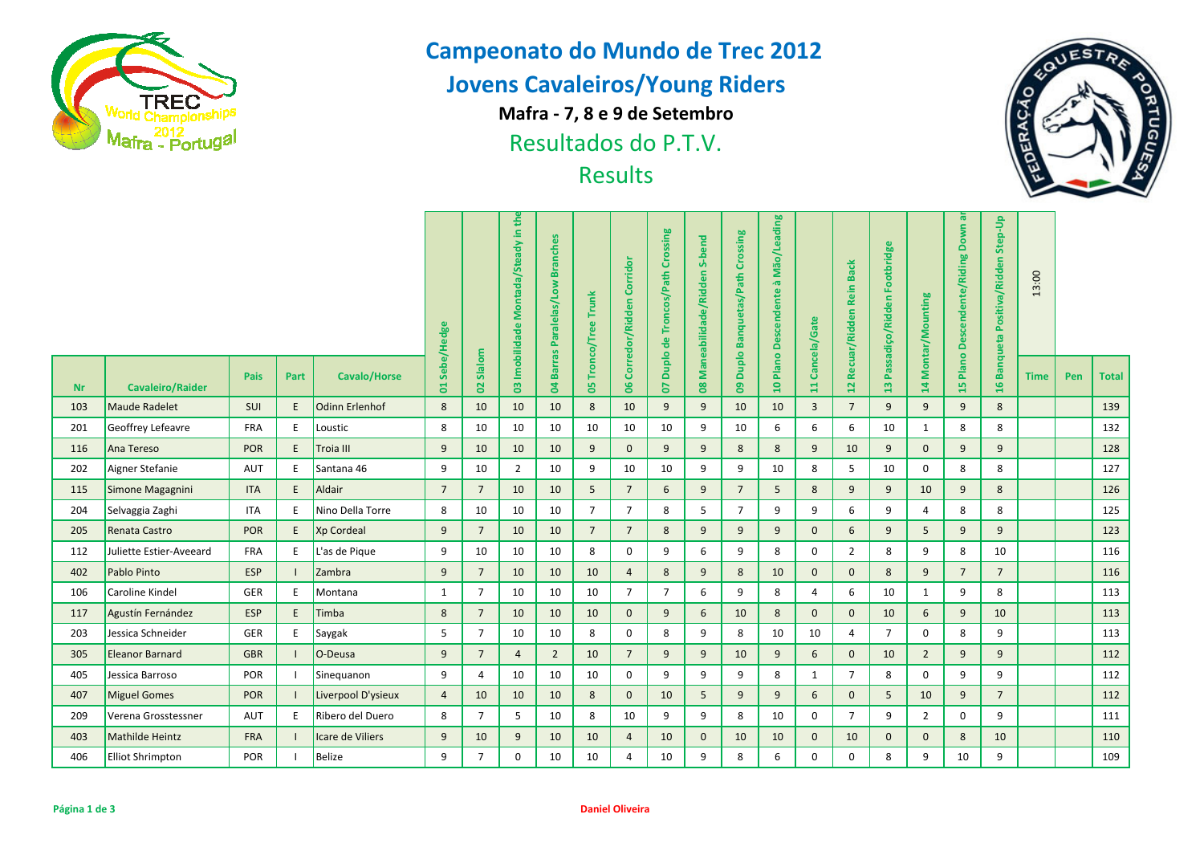

## **Campeonato do Mundo de Trec 2012**

# **Jovens Cavaleiros/Young Riders**

**Mafra - 7, 8 e 9 de Setembro**

Resultados do P.T.V.



| <b>Wafra</b> - Portugal |                         |            |      |                       |                 | Resultados do P.T.V.<br><b>Results</b> |                                     |                                  |                      |                             |                                |                                |                               |                                    |                         |                         |                                |                 |                                 |                                  | 區           |     |              |
|-------------------------|-------------------------|------------|------|-----------------------|-----------------|----------------------------------------|-------------------------------------|----------------------------------|----------------------|-----------------------------|--------------------------------|--------------------------------|-------------------------------|------------------------------------|-------------------------|-------------------------|--------------------------------|-----------------|---------------------------------|----------------------------------|-------------|-----|--------------|
|                         |                         |            |      |                       |                 |                                        | 03 Imobilidade Montada/Steady in th | <b>Branches</b><br>Paralelas/Low | 05 Tronco/Tree Trunk | Corridor<br>Corredor/Ridden | Duplo de Troncos/Path Crossing | S-bend<br>Maneabilidade/Ridden | Duplo Banquetas/Path Crossing | 10 Plano Descendente à Mão/Leading | Cancela/Gate            | Recuar/Ridden Rein Back | Footbridge<br>Passadiço/Ridden | Montar/Mounting | ā<br>Down<br>Descendente/Riding | Banqueta Positiva/Ridden Step-Up | 13:00       |     |              |
| <b>Nr</b>               | <b>Cavaleiro/Raider</b> | Pais       | Part | <b>Cavalo/Horse</b>   | 01 Sebe/Hedge   | 02 Slalom                              |                                     | <b>Barras</b><br>$\overline{a}$  |                      | 8                           | <b>PD</b>                      | $\mathbf{8}$                   | g                             |                                    | $\overline{\mathbf{u}}$ | $\overline{12}$         | 13                             | 14              | Plano<br>15                     | 16                               | <b>Time</b> | Pen | <b>Total</b> |
| 103                     | <b>Maude Radelet</b>    | SUI        | F    | <b>Odinn Erlenhof</b> | 8               | 10                                     | 10                                  | 10                               | 8                    | 10                          | 9                              | 9                              | 10                            | 10                                 | $\overline{3}$          | $\overline{7}$          | 9                              | 9               | 9                               | 8                                |             |     | 139          |
| 201                     | Geoffrey Lefeavre       | <b>FRA</b> | E    | Loustic               | 8               | 10                                     | 10                                  | 10                               | 10                   | 10                          | 10                             | 9                              | 10                            | 6                                  | 6                       | 6                       | 10                             | $\mathbf{1}$    | 8                               | 8                                |             |     | 132          |
| 116                     | Ana Tereso              | <b>POR</b> | E    | Troia III             | 9               | 10                                     | 10                                  | 10                               | 9                    | $\mathbf 0$                 | 9                              | 9                              | 8                             | 8                                  | 9                       | 10                      | 9                              | $\mathbf{0}$    | 9                               | 9                                |             |     | 128          |
| 202                     | Aigner Stefanie         | AUT        | E    | Santana 46            | 9               | 10                                     | $\overline{2}$                      | 10                               | 9                    | 10                          | 10                             | 9                              | 9                             | 10                                 | 8                       | 5                       | 10                             | 0               | 8                               | 8                                |             |     | 127          |
| 115                     | Simone Magagnini        | <b>ITA</b> | E    | Aldair                | $7\overline{ }$ | $\overline{7}$                         | 10                                  | 10                               | 5                    | $7\overline{ }$             | 6                              | 9                              | $\overline{7}$                | 5                                  | 8                       | 9                       | 9                              | 10              | 9                               | 8                                |             |     | 126          |
| 204                     | Selvaggia Zaghi         | <b>ITA</b> | E    | Nino Della Torre      | 8               | 10                                     | 10                                  | 10                               | $\overline{7}$       | $\overline{7}$              | 8                              | 5                              | $\overline{7}$                | 9                                  | 9                       | 6                       | 9                              | 4               | 8                               | 8                                |             |     | 125          |
| 205                     | Renata Castro           | <b>POR</b> | E    | Xp Cordeal            | 9               | $\overline{7}$                         | 10                                  | 10                               | $\overline{7}$       | $\overline{7}$              | 8                              | 9                              | 9                             | 9                                  | $\mathbf 0$             | 6                       | 9                              | 5               | 9                               | 9                                |             |     | 123          |
| 112                     | Juliette Estier-Aveeard | <b>FRA</b> | E    | L'as de Pique         | 9               | 10                                     | 10                                  | 10                               | 8                    | 0                           | 9                              | 6                              | 9                             | 8                                  | $\mathbf 0$             | $\overline{2}$          | 8                              | 9               | 8                               | 10                               |             |     | 116          |
| 402                     | Pablo Pinto             | <b>ESP</b> |      | Zambra                | 9               | $\overline{7}$                         | 10                                  | 10                               | 10                   | $\overline{4}$              | 8                              | 9                              | 8                             | 10                                 | $\mathbf{0}$            | $\mathbf{0}$            | 8                              | 9               | $7\overline{ }$                 | $\overline{7}$                   |             |     | 116          |
| 106                     | Caroline Kindel         | GER        | E    | Montana               | 1               | $\overline{7}$                         | 10                                  | 10                               | 10                   | $\overline{7}$              | $\overline{7}$                 | 6                              | 9                             | 8                                  | 4                       | 6                       | 10                             | $\mathbf{1}$    | 9                               | 8                                |             |     | 113          |
| 117                     | Agustín Fernández       | <b>ESP</b> | E    | Timba                 | 8               | $\overline{7}$                         | 10                                  | 10                               | 10                   | $\mathbf{0}$                | 9                              | 6                              | 10                            | 8                                  | $\mathbf 0$             | $\mathbf 0$             | 10                             | 6               | 9                               | 10                               |             |     | 113          |
| 203                     | Jessica Schneider       | GER        | E    | Saygak                | 5               | $\overline{7}$                         | 10                                  | 10                               | 8                    | 0                           | 8                              | 9                              | 8                             | 10                                 | 10                      | 4                       | $\overline{7}$                 | 0               | 8                               | 9                                |             |     | 113          |
| 305                     | <b>Eleanor Barnard</b>  | <b>GBR</b> |      | O-Deusa               | 9               | $\overline{7}$                         | $\overline{4}$                      | $\overline{2}$                   | 10                   | $7\overline{ }$             | 9                              | 9                              | 10                            | 9                                  | 6                       | $\mathbf{0}$            | 10                             | $\overline{2}$  | 9                               | 9                                |             |     | 112          |
| 405                     | Jessica Barroso         | POR        |      | Sinequanon            | 9               | $\overline{4}$                         | 10                                  | 10                               | 10                   | $\mathbf 0$                 | 9                              | 9                              | 9                             | 8                                  | $\mathbf{1}$            | $\overline{7}$          | 8                              | $\mathbf 0$     | 9                               | 9                                |             |     | 112          |
| 407                     | <b>Miguel Gomes</b>     | <b>POR</b> |      | Liverpool D'ysieux    | $\overline{4}$  | 10                                     | 10                                  | 10                               | 8                    | $\mathbf{0}$                | 10                             | 5 <sup>5</sup>                 | 9                             | 9                                  | 6                       | $\mathbf{0}$            | 5                              | 10              | 9                               | $\overline{7}$                   |             |     | 112          |
| 209                     | Verena Grosstessner     | AUT        | E    | Ribero del Duero      | 8               | $\overline{7}$                         | 5                                   | 10                               | 8                    | 10                          | 9                              | 9                              | 8                             | 10                                 | $\mathbf 0$             | $\overline{7}$          | 9                              | $\overline{2}$  | $\mathbf{0}$                    | 9                                |             |     | 111          |
| 403                     | <b>Mathilde Heintz</b>  | <b>FRA</b> |      | Icare de Viliers      | 9               | 10                                     | 9                                   | 10                               | 10                   | $\overline{4}$              | 10                             | $\mathbf{0}$                   | 10                            | 10                                 | $\mathbf{0}$            | 10                      | $\mathbf{0}$                   | $\mathbf{0}$    | 8                               | 10                               |             |     | 110          |
| 406                     | <b>Elliot Shrimpton</b> | POR        |      | <b>Belize</b>         | 9               | $\overline{7}$                         | $\mathbf 0$                         | 10                               | 10                   | 4                           | 10                             | 9                              | 8                             | 6                                  | $\mathbf 0$             | 0                       | 8                              | 9               | 10                              | 9                                |             |     | 109          |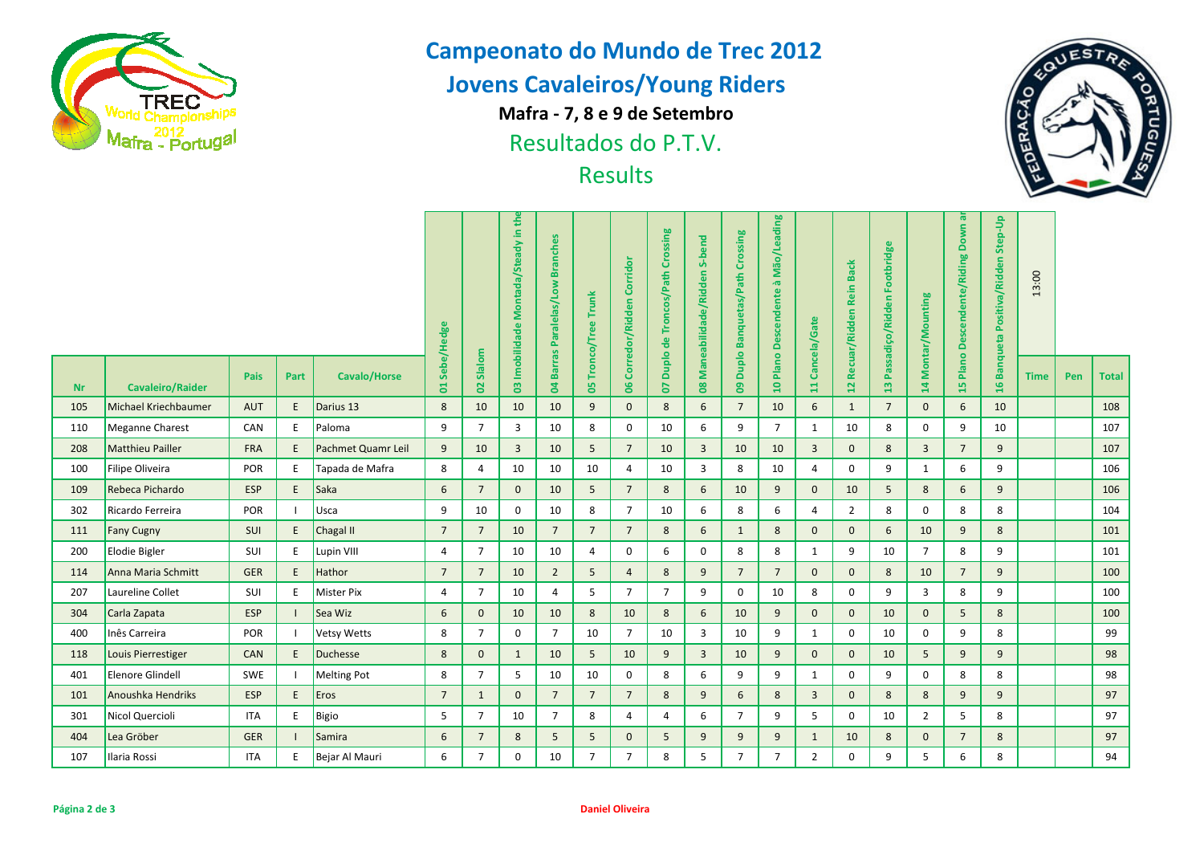

## **Campeonato do Mundo de Trec 2012**

# **Jovens Cavaleiros/Young Riders**

**Mafra - 7, 8 e 9 de Setembro**

Resultados do P.T.V.



| <b>Wafra</b> - Portugal |                             |            |                                     |                                  |                      | Resultados do P.T.V.<br><b>Results</b> |                                |                                 |                                  |                                    |                |                                             |                                |                 |                         |                                  |                 |                |                          |               | <b>A</b>    |     |              |
|-------------------------|-----------------------------|------------|-------------------------------------|----------------------------------|----------------------|----------------------------------------|--------------------------------|---------------------------------|----------------------------------|------------------------------------|----------------|---------------------------------------------|--------------------------------|-----------------|-------------------------|----------------------------------|-----------------|----------------|--------------------------|---------------|-------------|-----|--------------|
|                         | 01 Sebe/Hedge               |            | 03 Imobilidade Montada/Steady in th | <b>Branches</b><br>Paralelas/Low | 05 Tronco/Tree Trunk | Corredor/Ridden Corridor               | Duplo de Troncos/Path Crossing | S-bend<br>Maneabilidade/Ridden  | 09 Duplo Banquetas/Path Crossing | 10 Plano Descendente à Mão/Leading | Cancela/Gate   | <b>Back</b><br><b>Rein</b><br>Recuar/Ridden | Footbridge<br>Passadiço/Ridden | Montar/Mounting | Descendente/Riding Down | Banqueta Positiva/Ridden Step-Up | 13:00           |                |                          |               |             |     |              |
| <b>Nr</b>               | <b>Cavaleiro/Raider</b>     | Pais       | Part                                | <b>Cavalo/Horse</b>              |                      | 02 Slalom                              |                                | <b>Barras</b><br>$\overline{a}$ |                                  | $\overline{\mathbf{5}}$            | <b>PD</b>      | $\overline{\mathbf{8}}$                     |                                |                 | $\overline{11}$         | $\overline{a}$                   | $\mathbf{a}$    | 14             | Plano <sup>1</sup><br>15 | $\frac{9}{2}$ | <b>Time</b> | Pen | <b>Total</b> |
| 105                     | <b>Michael Kriechbaumer</b> | <b>AUT</b> | E.                                  | Darius 13                        | 8                    | 10                                     | 10                             | 10                              | 9                                | $\mathbf{0}$                       | 8              | 6                                           | $\overline{7}$                 | 10              | 6                       | $\mathbf{1}$                     | $7\overline{ }$ | $\mathbf{0}$   | 6                        | 10            |             |     | 108          |
| 110                     | Meganne Charest             | CAN        | E                                   | Paloma                           | 9                    | $\overline{7}$                         | $\overline{3}$                 | 10                              | 8                                | $\mathbf 0$                        | 10             | 6                                           | 9                              | $\overline{7}$  | $\mathbf{1}$            | 10                               | 8               | $\mathbf 0$    | 9                        | 10            |             |     | 107          |
| 208                     | <b>Matthieu Pailler</b>     | <b>FRA</b> | E                                   | Pachmet Quamr Leil               | 9                    | 10                                     | $\overline{3}$                 | 10                              | 5                                | $\overline{7}$                     | 10             | $\mathbf{3}$                                | 10                             | 10              | $\overline{3}$          | $\mathbf{0}$                     | 8               | $\overline{3}$ | $7\overline{ }$          | 9             |             |     | 107          |
| 100                     | Filipe Oliveira             | <b>POR</b> | E                                   | Tapada de Mafra                  | 8                    | 4                                      | 10                             | 10                              | 10                               | 4                                  | 10             | 3                                           | 8                              | 10              | $\overline{4}$          | $\mathbf 0$                      | 9               | 1              | 6                        | 9             |             |     | 106          |
| 109                     | Rebeca Pichardo             | <b>ESP</b> | E.                                  | Saka                             | 6                    | $7\overline{ }$                        | $\mathbf 0$                    | 10                              | 5                                | $7\overline{ }$                    | 8              | 6                                           | 10                             | 9               | $\mathbf{0}$            | 10                               | 5               | 8              | 6                        | 9             |             |     | 106          |
| 302                     | Ricardo Ferreira            | POR        |                                     | Usca                             | 9                    | 10                                     | $\mathbf 0$                    | 10                              | 8                                | $7\overline{ }$                    | 10             | 6                                           | 8                              | 6               | 4                       | $\overline{2}$                   | 8               | $\mathbf 0$    | 8                        | 8             |             |     | 104          |
| 111                     | <b>Fany Cugny</b>           | SUI        | E                                   | Chagal II                        | $7\overline{ }$      | $7\overline{ }$                        | 10                             | $7\overline{ }$                 | $\overline{7}$                   | $\overline{7}$                     | 8              | 6                                           | $\mathbf{1}$                   | 8               | $\mathbf{0}$            | $\mathbf{0}$                     | 6               | 10             | 9                        | 8             |             |     | 101          |
| 200                     | Elodie Bigler               | SUI        | E                                   | Lupin VIII                       | 4                    | $\overline{7}$                         | 10                             | 10                              | 4                                | 0                                  | 6              | 0                                           | 8                              | 8               | $\mathbf{1}$            | 9                                | 10              | $\overline{7}$ | 8                        | 9             |             |     | 101          |
| 114                     | Anna Maria Schmitt          | <b>GER</b> | E                                   | Hathor                           | $7\overline{ }$      | $7\overline{ }$                        | 10                             | $\overline{2}$                  | 5                                | $\overline{4}$                     | 8              | 9                                           | $\overline{7}$                 | $\overline{7}$  | $\mathbf{0}$            | $\mathbf{0}$                     | 8               | 10             | $7\overline{ }$          | 9             |             |     | 100          |
| 207                     | Laureline Collet            | SUI        | E                                   | <b>Mister Pix</b>                | 4                    | $\overline{7}$                         | 10                             | 4                               | 5                                | $\overline{7}$                     | $\overline{7}$ | 9                                           | $\mathbf{0}$                   | 10              | 8                       | 0                                | 9               | $\overline{3}$ | 8                        | 9             |             |     | 100          |
| 304                     | Carla Zapata                | <b>ESP</b> |                                     | Sea Wiz                          | $\sqrt{6}$           | $\mathbf{0}$                           | 10                             | 10                              | 8                                | 10                                 | $8\phantom{1}$ | 6                                           | 10                             | 9               | $\mathbf 0$             | $\mathbf{0}$                     | 10              | $\mathbf 0$    | 5                        | 8             |             |     | 100          |
| 400                     | Inês Carreira               | POR        |                                     | <b>Vetsy Wetts</b>               | 8                    | $\overline{7}$                         | $\mathbf 0$                    | $\overline{7}$                  | 10                               | $\overline{7}$                     | 10             | 3                                           | 10                             | 9               | $\mathbf{1}$            | 0                                | 10              | $\mathbf 0$    | 9                        | 8             |             |     | 99           |
| 118                     | Louis Pierrestiger          | <b>CAN</b> | E                                   | <b>Duchesse</b>                  | 8                    | $\mathbf{0}$                           | $\mathbf{1}$                   | 10                              | 5                                | 10                                 | 9              | $\overline{3}$                              | 10                             | 9               | $\mathbf{0}$            | $\mathbf{0}$                     | 10              | 5              | 9                        | 9             |             |     | 98           |
| 401                     | Elenore Glindell            | SWE        |                                     | <b>Melting Pot</b>               | 8                    | $\overline{7}$                         | 5                              | 10                              | 10                               | $\mathbf 0$                        | 8              | 6                                           | 9                              | 9               | 1                       | 0                                | 9               | $\mathbf 0$    | 8                        | 8             |             |     | 98           |
| 101                     | Anoushka Hendriks           | <b>ESP</b> | E                                   | Eros                             | $7\overline{ }$      | $\mathbf{1}$                           | $\mathbf{0}$                   | $\overline{7}$                  | $\overline{7}$                   | $7\overline{ }$                    | 8              | 9                                           | 6                              | $8\phantom{1}$  | $\overline{3}$          | $\mathbf 0$                      | 8               | 8              | 9                        | 9             |             |     | 97           |
| 301                     | Nicol Quercioli             | <b>ITA</b> | E                                   | Bigio                            | 5                    | $\overline{7}$                         | 10                             | $\overline{7}$                  | 8                                | $\overline{4}$                     | $\overline{4}$ | 6                                           | $\overline{7}$                 | 9               | 5                       | $\mathbf 0$                      | 10              | $\overline{2}$ | 5                        | 8             |             |     | 97           |
| 404                     | Lea Gröber                  | <b>GER</b> |                                     | Samira                           | 6                    | $\overline{7}$                         | 8                              | 5                               | 5                                | $\mathbf{0}$                       | 5              | 9                                           | 9                              | 9               | $\mathbf{1}$            | 10                               | 8               | $\mathbf{0}$   | $\overline{7}$           | 8             |             |     | 97           |
| 107                     | Ilaria Rossi                | <b>ITA</b> | Ε                                   | Bejar Al Mauri                   | 6                    | $\overline{7}$                         | $\mathbf 0$                    | 10                              | $\overline{7}$                   | $\overline{7}$                     | 8              | 5                                           | $\overline{7}$                 | $\overline{7}$  | $\overline{2}$          | $\mathbf 0$                      | 9               | 5              | 6                        | 8             |             |     | 94           |